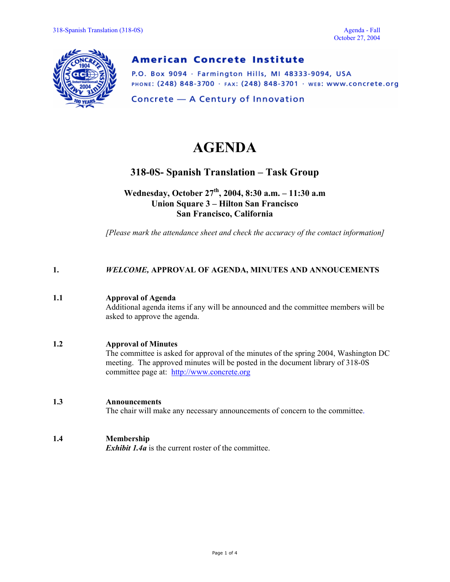

# **American Concrete Institute**

P.O. Box 9094 · Farmington Hills, MI 48333-9094, USA PHONE: (248) 848-3700 · FAX: (248) 848-3701 · WEB: WWW.CONCrete.org

Concrete - A Century of Innovation

# **AGENDA**

# **318-0S- Spanish Translation – Task Group**

**Wednesday, October 27th, 2004, 8:30 a.m. – 11:30 a.m Union Square 3 – Hilton San Francisco San Francisco, California** 

*[Please mark the attendance sheet and check the accuracy of the contact information]* 

#### **1.** *WELCOME,* **APPROVAL OF AGENDA, MINUTES AND ANNOUCEMENTS**

#### **1.1 Approval of Agenda**

Additional agenda items if any will be announced and the committee members will be asked to approve the agenda.

#### **1.2 Approval of Minutes**

The committee is asked for approval of the minutes of the spring 2004, Washington DC meeting. The approved minutes will be posted in the document library of 318-0S committee page at: http://www.concrete.org

#### **1.3 Announcements**

The chair will make any necessary announcements of concern to the committee.

### **1.4 Membership**

*Exhibit 1.4a* is the current roster of the committee.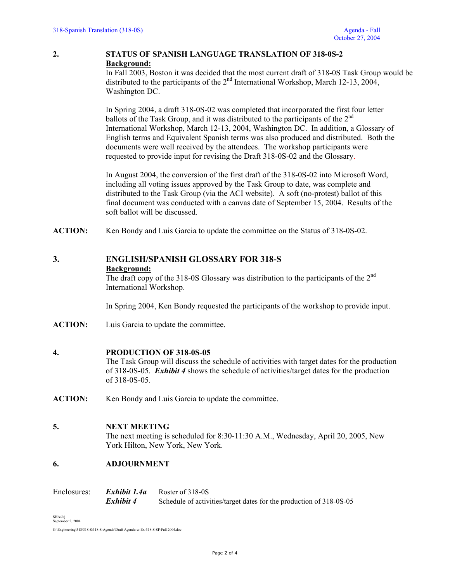#### **2. STATUS OF SPANISH LANGUAGE TRANSLATION OF 318-0S-2 Background:**

In Fall 2003, Boston it was decided that the most current draft of 318-0S Task Group would be distributed to the participants of the 2<sup>nd</sup> International Workshop, March 12-13, 2004, Washington DC.

In Spring 2004, a draft 318-0S-02 was completed that incorporated the first four letter ballots of the Task Group, and it was distributed to the participants of the  $2<sup>nd</sup>$ International Workshop, March 12-13, 2004, Washington DC. In addition, a Glossary of English terms and Equivalent Spanish terms was also produced and distributed. Both the documents were well received by the attendees. The workshop participants were requested to provide input for revising the Draft 318-0S-02 and the Glossary.

 In August 2004, the conversion of the first draft of the 318-0S-02 into Microsoft Word, including all voting issues approved by the Task Group to date, was complete and distributed to the Task Group (via the ACI website). A soft (no-protest) ballot of this final document was conducted with a canvas date of September 15, 2004. Results of the soft ballot will be discussed.

**ACTION:** Ken Bondy and Luis Garcia to update the committee on the Status of 318-0S-02.

## **3. ENGLISH/SPANISH GLOSSARY FOR 318-S Background:**

The draft copy of the 318-0S Glossary was distribution to the participants of the 2nd International Workshop.

In Spring 2004, Ken Bondy requested the participants of the workshop to provide input.

**ACTION:** Luis Garcia to update the committee.

#### **4. PRODUCTION OF 318-0S-05**

The Task Group will discuss the schedule of activities with target dates for the production of 318-0S-05. *Exhibit 4* shows the schedule of activities/target dates for the production of 318-0S-05.

**ACTION:** Ken Bondy and Luis Garcia to update the committee.

#### **5. NEXT MEETING**

The next meeting is scheduled for 8:30-11:30 A.M., Wednesday, April 20, 2005, New York Hilton, New York, New York.

#### **6. ADJOURNMENT**

| Enclosures: | Exhibit 1.4a | Roster of 318-0S                                                    |
|-------------|--------------|---------------------------------------------------------------------|
|             | Exhibit 4    | Schedule of activities/target dates for the production of 318-0S-05 |

SHA/Jej September 2, 2004

G:\Engineering\318\318-S\318-S-Agenda\Draft Agenda-w-Ex-318-S-SF-Fall 2004.doc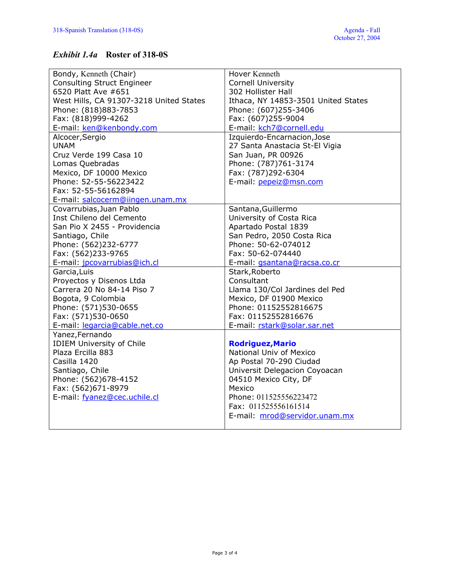## *Exhibit 1.4a* **Roster of 318-0S**

| Bondy, Kenneth (Chair)                  | Hover Kenneth                       |  |  |  |  |  |  |  |
|-----------------------------------------|-------------------------------------|--|--|--|--|--|--|--|
| <b>Consulting Struct Engineer</b>       | <b>Cornell University</b>           |  |  |  |  |  |  |  |
| 6520 Platt Ave #651                     | 302 Hollister Hall                  |  |  |  |  |  |  |  |
| West Hills, CA 91307-3218 United States | Ithaca, NY 14853-3501 United States |  |  |  |  |  |  |  |
| Phone: (818)883-7853                    | Phone: (607)255-3406                |  |  |  |  |  |  |  |
| Fax: (818)999-4262                      | Fax: (607)255-9004                  |  |  |  |  |  |  |  |
| E-mail: ken@kenbondy.com                | E-mail: kch7@cornell.edu            |  |  |  |  |  |  |  |
| Alcocer, Sergio                         | Izquierdo-Encarnacion, Jose         |  |  |  |  |  |  |  |
| <b>UNAM</b>                             | 27 Santa Anastacia St-El Vigia      |  |  |  |  |  |  |  |
| Cruz Verde 199 Casa 10                  | San Juan, PR 00926                  |  |  |  |  |  |  |  |
| Lomas Quebradas                         | Phone: (787)761-3174                |  |  |  |  |  |  |  |
| Mexico, DF 10000 Mexico                 | Fax: (787)292-6304                  |  |  |  |  |  |  |  |
| Phone: 52-55-56223422                   | E-mail: pepeiz@msn.com              |  |  |  |  |  |  |  |
| Fax: 52-55-56162894                     |                                     |  |  |  |  |  |  |  |
| E-mail: salcocerm@iingen.unam.mx        |                                     |  |  |  |  |  |  |  |
| Covarrubias, Juan Pablo                 | Santana, Guillermo                  |  |  |  |  |  |  |  |
| Inst Chileno del Cemento                | University of Costa Rica            |  |  |  |  |  |  |  |
| San Pio X 2455 - Providencia            | Apartado Postal 1839                |  |  |  |  |  |  |  |
| Santiago, Chile                         | San Pedro, 2050 Costa Rica          |  |  |  |  |  |  |  |
| Phone: (562)232-6777                    | Phone: 50-62-074012                 |  |  |  |  |  |  |  |
| Fax: (562)233-9765                      | Fax: 50-62-074440                   |  |  |  |  |  |  |  |
| E-mail: jpcovarrubias@ich.cl            | E-mail: gsantana@racsa.co.cr        |  |  |  |  |  |  |  |
| Garcia, Luis                            | Stark, Roberto                      |  |  |  |  |  |  |  |
| Proyectos y Disenos Ltda                | Consultant                          |  |  |  |  |  |  |  |
| Carrera 20 No 84-14 Piso 7              | Llama 130/Col Jardines del Ped      |  |  |  |  |  |  |  |
| Bogota, 9 Colombia                      | Mexico, DF 01900 Mexico             |  |  |  |  |  |  |  |
| Phone: (571)530-0655                    | Phone: 01152552816675               |  |  |  |  |  |  |  |
| Fax: (571)530-0650                      | Fax: 01152552816676                 |  |  |  |  |  |  |  |
| E-mail: legarcia@cable.net.co           | E-mail: rstark@solar.sar.net        |  |  |  |  |  |  |  |
| Yanez, Fernando                         |                                     |  |  |  |  |  |  |  |
| <b>IDIEM University of Chile</b>        | <b>Rodriguez, Mario</b>             |  |  |  |  |  |  |  |
| Plaza Ercilla 883                       | National Univ of Mexico             |  |  |  |  |  |  |  |
| Casilla 1420                            | Ap Postal 70-290 Ciudad             |  |  |  |  |  |  |  |
| Santiago, Chile                         | Universit Delegacion Coyoacan       |  |  |  |  |  |  |  |
| Phone: (562)678-4152                    | 04510 Mexico City, DF               |  |  |  |  |  |  |  |
| Fax: (562)671-8979                      | Mexico                              |  |  |  |  |  |  |  |
| E-mail: fyanez@cec.uchile.cl            | Phone: 011525556223472              |  |  |  |  |  |  |  |
|                                         | Fax: 011525556161514                |  |  |  |  |  |  |  |
|                                         | E-mail: mrod@servidor.unam.mx       |  |  |  |  |  |  |  |
|                                         |                                     |  |  |  |  |  |  |  |